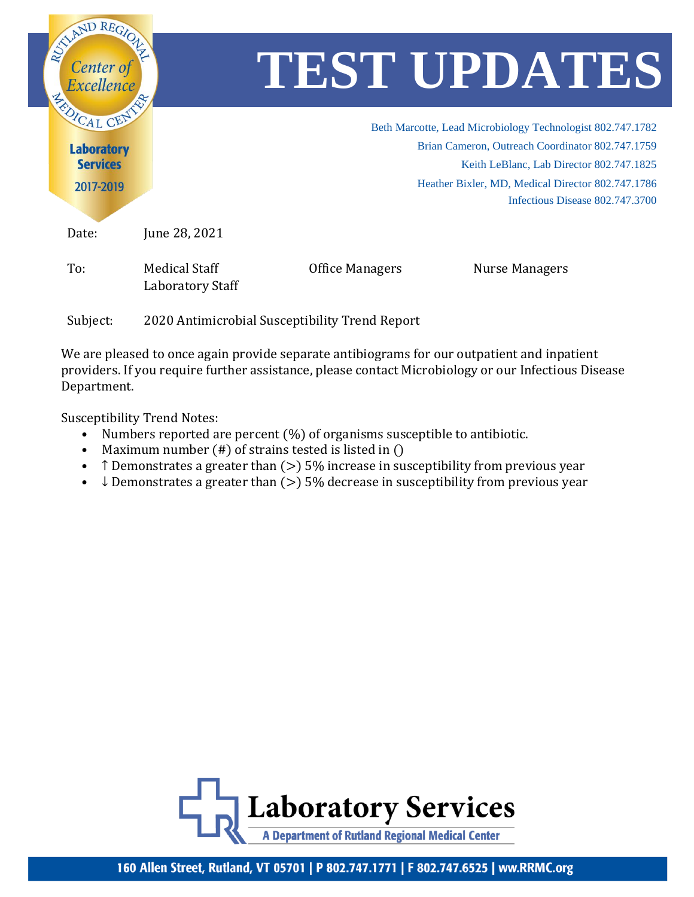

We are pleased to once again provide separate antibiograms for our outpatient and inpatient providers. If you require further assistance, please contact Microbiology or our Infectious Disease Department.

Susceptibility Trend Notes:

- Numbers reported are percent  $(\%)$  of organisms susceptible to antibiotic.
- Maximum number (#) of strains tested is listed in ()
- T Demonstrates a greater than  $(>)$  5% increase in susceptibility from previous year
- $\downarrow$  Demonstrates a greater than ( $>$ ) 5% decrease in susceptibility from previous year